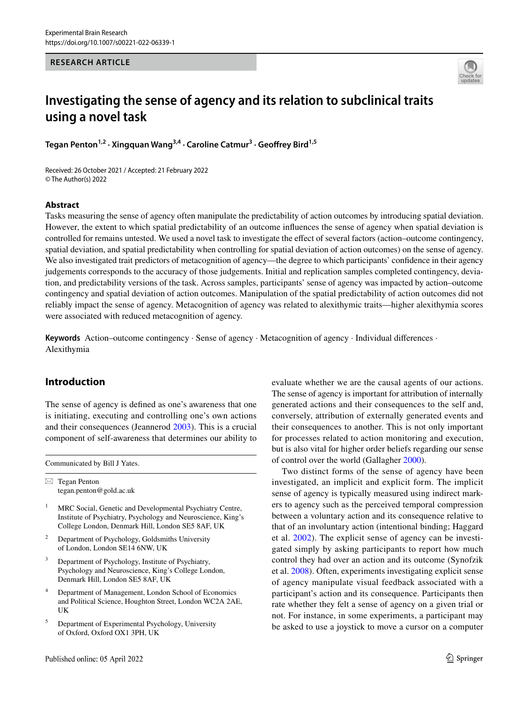### **RESEARCH ARTICLE**



# **Investigating the sense of agency and its relation to subclinical traits using a novel task**

**Tegan Penton1,2 · Xingquan Wang3,4 · Caroline Catmur3 · Geofrey Bird1,5**

Received: 26 October 2021 / Accepted: 21 February 2022 © The Author(s) 2022

## **Abstract**

Tasks measuring the sense of agency often manipulate the predictability of action outcomes by introducing spatial deviation. However, the extent to which spatial predictability of an outcome infuences the sense of agency when spatial deviation is controlled for remains untested. We used a novel task to investigate the efect of several factors (action–outcome contingency, spatial deviation, and spatial predictability when controlling for spatial deviation of action outcomes) on the sense of agency. We also investigated trait predictors of metacognition of agency—the degree to which participants' confdence in their agency judgements corresponds to the accuracy of those judgements. Initial and replication samples completed contingency, deviation, and predictability versions of the task. Across samples, participants' sense of agency was impacted by action–outcome contingency and spatial deviation of action outcomes. Manipulation of the spatial predictability of action outcomes did not reliably impact the sense of agency. Metacognition of agency was related to alexithymic traits—higher alexithymia scores were associated with reduced metacognition of agency.

**Keywords** Action–outcome contingency · Sense of agency · Metacognition of agency · Individual diferences · Alexithymia

# **Introduction**

The sense of agency is defned as one's awareness that one is initiating, executing and controlling one's own actions and their consequences (Jeannerod [2003](#page-11-0)). This is a crucial component of self-awareness that determines our ability to

Communicated by Bill J Yates.

 $\boxtimes$  Tegan Penton tegan.penton@gold.ac.uk

- <sup>1</sup> MRC Social, Genetic and Developmental Psychiatry Centre, Institute of Psychiatry, Psychology and Neuroscience, King's College London, Denmark Hill, London SE5 8AF, UK
- <sup>2</sup> Department of Psychology, Goldsmiths University of London, London SE14 6NW, UK
- Department of Psychology, Institute of Psychiatry, Psychology and Neuroscience, King's College London, Denmark Hill, London SE5 8AF, UK
- <sup>4</sup> Department of Management, London School of Economics and Political Science, Houghton Street, London WC2A 2AE, UK
- <sup>5</sup> Department of Experimental Psychology, University of Oxford, Oxford OX1 3PH, UK

Published online: 05 April 2022

evaluate whether we are the causal agents of our actions. The sense of agency is important for attribution of internally generated actions and their consequences to the self and, conversely, attribution of externally generated events and their consequences to another. This is not only important for processes related to action monitoring and execution, but is also vital for higher order beliefs regarding our sense of control over the world (Gallagher [2000](#page-11-1)).

Two distinct forms of the sense of agency have been investigated, an implicit and explicit form. The implicit sense of agency is typically measured using indirect markers to agency such as the perceived temporal compression between a voluntary action and its consequence relative to that of an involuntary action (intentional binding; Haggard et al. [2002\)](#page-11-2). The explicit sense of agency can be investigated simply by asking participants to report how much control they had over an action and its outcome (Synofzik et al. [2008](#page-11-3)). Often, experiments investigating explicit sense of agency manipulate visual feedback associated with a participant's action and its consequence. Participants then rate whether they felt a sense of agency on a given trial or not. For instance, in some experiments, a participant may be asked to use a joystick to move a cursor on a computer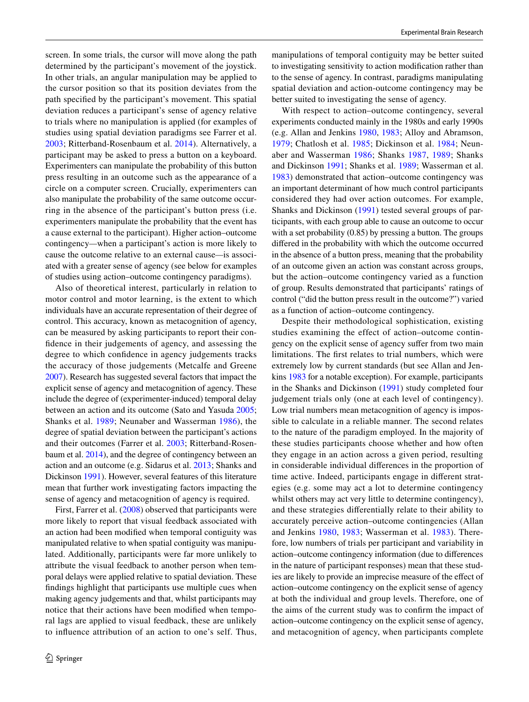screen. In some trials, the cursor will move along the path determined by the participant's movement of the joystick. In other trials, an angular manipulation may be applied to the cursor position so that its position deviates from the path specifed by the participant's movement. This spatial deviation reduces a participant's sense of agency relative to trials where no manipulation is applied (for examples of studies using spatial deviation paradigms see Farrer et al. [2003](#page-11-4); Ritterband-Rosenbaum et al. [2014](#page-11-5)). Alternatively, a participant may be asked to press a button on a keyboard. Experimenters can manipulate the probability of this button press resulting in an outcome such as the appearance of a circle on a computer screen. Crucially, experimenters can also manipulate the probability of the same outcome occurring in the absence of the participant's button press (i.e. experimenters manipulate the probability that the event has a cause external to the participant). Higher action–outcome contingency*—*when a participant's action is more likely to cause the outcome relative to an external cause*—*is associated with a greater sense of agency (see below for examples of studies using action–outcome contingency paradigms).

Also of theoretical interest, particularly in relation to motor control and motor learning, is the extent to which individuals have an accurate representation of their degree of control. This accuracy, known as metacognition of agency, can be measured by asking participants to report their confdence in their judgements of agency, and assessing the degree to which confdence in agency judgements tracks the accuracy of those judgements (Metcalfe and Greene [2007\)](#page-11-6). Research has suggested several factors that impact the explicit sense of agency and metacognition of agency. These include the degree of (experimenter-induced) temporal delay between an action and its outcome (Sato and Yasuda [2005](#page-11-7); Shanks et al. [1989;](#page-11-8) Neunaber and Wasserman [1986](#page-11-9)), the degree of spatial deviation between the participant's actions and their outcomes (Farrer et al. [2003;](#page-11-4) Ritterband-Rosenbaum et al. [2014](#page-11-5)), and the degree of contingency between an action and an outcome (e.g. Sidarus et al. [2013](#page-11-10); Shanks and Dickinson [1991](#page-11-11)). However, several features of this literature mean that further work investigating factors impacting the sense of agency and metacognition of agency is required.

First, Farrer et al. ([2008](#page-11-12)) observed that participants were more likely to report that visual feedback associated with an action had been modifed when temporal contiguity was manipulated relative to when spatial contiguity was manipulated. Additionally, participants were far more unlikely to attribute the visual feedback to another person when temporal delays were applied relative to spatial deviation. These fndings highlight that participants use multiple cues when making agency judgements and that, whilst participants may notice that their actions have been modifed when temporal lags are applied to visual feedback, these are unlikely to infuence attribution of an action to one's self. Thus,

manipulations of temporal contiguity may be better suited to investigating sensitivity to action modifcation rather than to the sense of agency. In contrast, paradigms manipulating spatial deviation and action-outcome contingency may be better suited to investigating the sense of agency.

With respect to action–outcome contingency, several experiments conducted mainly in the 1980s and early 1990s (e.g. Allan and Jenkins [1980](#page-10-0), [1983](#page-10-1); Alloy and Abramson, [1979;](#page-10-2) Chatlosh et al. [1985](#page-11-13); Dickinson et al. [1984;](#page-11-14) Neunaber and Wasserman [1986](#page-11-9); Shanks [1987](#page-11-15), [1989;](#page-11-16) Shanks and Dickinson [1991](#page-11-11); Shanks et al. [1989](#page-11-8); Wasserman et al. [1983](#page-11-17)) demonstrated that action–outcome contingency was an important determinant of how much control participants considered they had over action outcomes. For example, Shanks and Dickinson ([1991](#page-11-11)) tested several groups of participants, with each group able to cause an outcome to occur with a set probability (0.85) by pressing a button. The groups difered in the probability with which the outcome occurred in the absence of a button press, meaning that the probability of an outcome given an action was constant across groups, but the action–outcome contingency varied as a function of group. Results demonstrated that participants' ratings of control ("did the button press result in the outcome?") varied as a function of action–outcome contingency.

Despite their methodological sophistication, existing studies examining the effect of action–outcome contingency on the explicit sense of agency sufer from two main limitations. The frst relates to trial numbers, which were extremely low by current standards (but see Allan and Jenkins [1983](#page-10-1) for a notable exception). For example, participants in the Shanks and Dickinson ([1991\)](#page-11-11) study completed four judgement trials only (one at each level of contingency). Low trial numbers mean metacognition of agency is impossible to calculate in a reliable manner. The second relates to the nature of the paradigm employed. In the majority of these studies participants choose whether and how often they engage in an action across a given period, resulting in considerable individual diferences in the proportion of time active. Indeed, participants engage in diferent strategies (e.g. some may act a lot to determine contingency whilst others may act very little to determine contingency), and these strategies diferentially relate to their ability to accurately perceive action–outcome contingencies (Allan and Jenkins [1980](#page-10-0), [1983;](#page-10-1) Wasserman et al. [1983](#page-11-17)). Therefore, low numbers of trials per participant and variability in action–outcome contingency information (due to diferences in the nature of participant responses) mean that these studies are likely to provide an imprecise measure of the efect of action–outcome contingency on the explicit sense of agency at both the individual and group levels. Therefore, one of the aims of the current study was to confrm the impact of action–outcome contingency on the explicit sense of agency, and metacognition of agency, when participants complete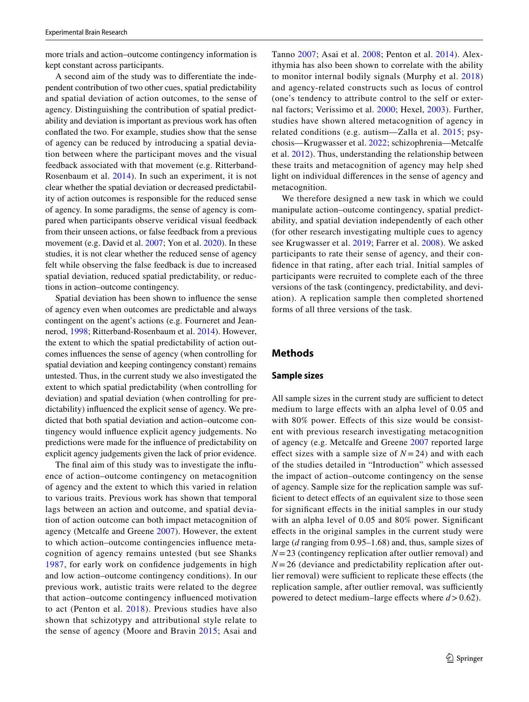more trials and action–outcome contingency information is kept constant across participants.

A second aim of the study was to diferentiate the independent contribution of two other cues, spatial predictability and spatial deviation of action outcomes, to the sense of agency. Distinguishing the contribution of spatial predictability and deviation is important as previous work has often confated the two. For example, studies show that the sense of agency can be reduced by introducing a spatial deviation between where the participant moves and the visual feedback associated with that movement (e.g. Ritterband-Rosenbaum et al. [2014\)](#page-11-5). In such an experiment, it is not clear whether the spatial deviation or decreased predictability of action outcomes is responsible for the reduced sense of agency. In some paradigms, the sense of agency is compared when participants observe veridical visual feedback from their unseen actions, or false feedback from a previous movement (e.g. David et al. [2007;](#page-11-18) Yon et al. [2020\)](#page-11-19). In these studies, it is not clear whether the reduced sense of agency felt while observing the false feedback is due to increased spatial deviation, reduced spatial predictability, or reductions in action–outcome contingency.

Spatial deviation has been shown to infuence the sense of agency even when outcomes are predictable and always contingent on the agent's actions (e.g. Fourneret and Jeannerod, [1998](#page-11-20); Ritterband-Rosenbaum et al. [2014](#page-11-5)). However, the extent to which the spatial predictability of action outcomes infuences the sense of agency (when controlling for spatial deviation and keeping contingency constant) remains untested. Thus, in the current study we also investigated the extent to which spatial predictability (when controlling for deviation) and spatial deviation (when controlling for predictability) infuenced the explicit sense of agency. We predicted that both spatial deviation and action–outcome contingency would infuence explicit agency judgements. No predictions were made for the infuence of predictability on explicit agency judgements given the lack of prior evidence.

The fnal aim of this study was to investigate the infuence of action–outcome contingency on metacognition of agency and the extent to which this varied in relation to various traits. Previous work has shown that temporal lags between an action and outcome, and spatial deviation of action outcome can both impact metacognition of agency (Metcalfe and Greene [2007](#page-11-6)). However, the extent to which action–outcome contingencies infuence metacognition of agency remains untested (but see Shanks [1987](#page-11-15), for early work on confdence judgements in high and low action–outcome contingency conditions). In our previous work, autistic traits were related to the degree that action–outcome contingency infuenced motivation to act (Penton et al. [2018\)](#page-11-21). Previous studies have also shown that schizotypy and attributional style relate to the sense of agency (Moore and Bravin [2015](#page-11-22); Asai and

Tanno [2007](#page-10-3); Asai et al. [2008](#page-10-4); Penton et al. [2014\)](#page-11-23). Alexithymia has also been shown to correlate with the ability to monitor internal bodily signals (Murphy et al. [2018\)](#page-11-24) and agency-related constructs such as locus of control (one's tendency to attribute control to the self or external factors; Verissimo et al. [2000](#page-11-25); Hexel, [2003\)](#page-11-26). Further, studies have shown altered metacognition of agency in related conditions (e.g. autism—Zalla et al. [2015;](#page-11-27) psychosis—Krugwasser et al. [2022;](#page-11-28) schizophrenia—Metcalfe et al. [2012](#page-11-29)). Thus, understanding the relationship between these traits and metacognition of agency may help shed light on individual diferences in the sense of agency and metacognition.

We therefore designed a new task in which we could manipulate action–outcome contingency, spatial predictability, and spatial deviation independently of each other (for other research investigating multiple cues to agency see Krugwasser et al. [2019](#page-11-30); Farrer et al. [2008\)](#page-11-12). We asked participants to rate their sense of agency, and their confdence in that rating, after each trial. Initial samples of participants were recruited to complete each of the three versions of the task (contingency, predictability, and deviation). A replication sample then completed shortened forms of all three versions of the task.

# **Methods**

#### **Sample sizes**

All sample sizes in the current study are sufficient to detect medium to large efects with an alpha level of 0.05 and with 80% power. Efects of this size would be consistent with previous research investigating metacognition of agency (e.g. Metcalfe and Greene [2007](#page-11-6) reported large effect sizes with a sample size of  $N = 24$ ) and with each of the studies detailed in "Introduction" which assessed the impact of action–outcome contingency on the sense of agency. Sample size for the replication sample was sufficient to detect effects of an equivalent size to those seen for signifcant efects in the initial samples in our study with an alpha level of 0.05 and 80% power. Signifcant efects in the original samples in the current study were large (*d* ranging from 0.95–1.68) and, thus, sample sizes of *N*=23 (contingency replication after outlier removal) and *N*=26 (deviance and predictability replication after outlier removal) were sufficient to replicate these effects (the replication sample, after outlier removal, was sufficiently powered to detect medium–large effects where  $d > 0.62$ ).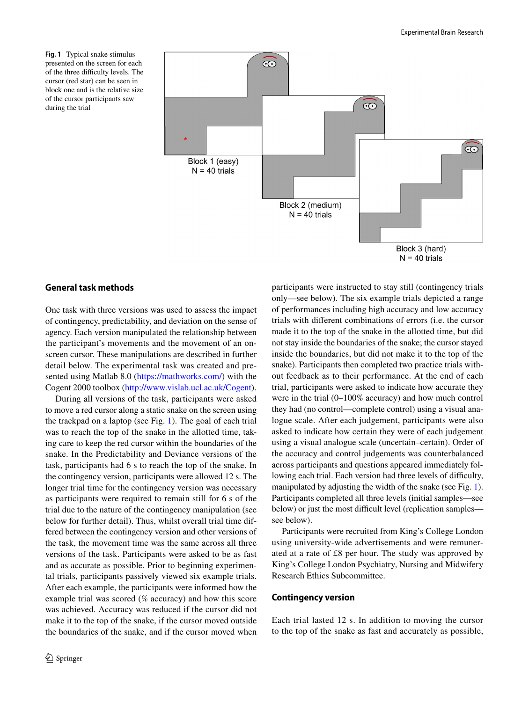<span id="page-3-0"></span>**Fig. 1** Typical snake stimulus presented on the screen for each of the three difficulty levels. The cursor (red star) can be seen in block one and is the relative size of the cursor participants saw during the trial



## **General task methods**

One task with three versions was used to assess the impact of contingency, predictability, and deviation on the sense of agency. Each version manipulated the relationship between the participant's movements and the movement of an onscreen cursor. These manipulations are described in further detail below. The experimental task was created and presented using Matlab 8.0 [\(https://mathworks.com/\)](https://mathworks.com/) with the Cogent 2000 toolbox (<http://www.vislab.ucl.ac.uk/Cogent>).

During all versions of the task, participants were asked to move a red cursor along a static snake on the screen using the trackpad on a laptop (see Fig. [1\)](#page-3-0). The goal of each trial was to reach the top of the snake in the allotted time, taking care to keep the red cursor within the boundaries of the snake. In the Predictability and Deviance versions of the task, participants had 6 s to reach the top of the snake. In the contingency version, participants were allowed 12 s. The longer trial time for the contingency version was necessary as participants were required to remain still for 6 s of the trial due to the nature of the contingency manipulation (see below for further detail). Thus, whilst overall trial time differed between the contingency version and other versions of the task, the movement time was the same across all three versions of the task. Participants were asked to be as fast and as accurate as possible. Prior to beginning experimental trials, participants passively viewed six example trials. After each example, the participants were informed how the example trial was scored (% accuracy) and how this score was achieved. Accuracy was reduced if the cursor did not make it to the top of the snake, if the cursor moved outside the boundaries of the snake, and if the cursor moved when participants were instructed to stay still (contingency trials only—see below). The six example trials depicted a range of performances including high accuracy and low accuracy trials with diferent combinations of errors (i.e. the cursor made it to the top of the snake in the allotted time, but did not stay inside the boundaries of the snake; the cursor stayed inside the boundaries, but did not make it to the top of the snake). Participants then completed two practice trials without feedback as to their performance. At the end of each trial, participants were asked to indicate how accurate they were in the trial (0–100% accuracy) and how much control they had (no control—complete control) using a visual analogue scale. After each judgement, participants were also asked to indicate how certain they were of each judgement using a visual analogue scale (uncertain–certain). Order of the accuracy and control judgements was counterbalanced across participants and questions appeared immediately following each trial. Each version had three levels of difficulty, manipulated by adjusting the width of the snake (see Fig. [1](#page-3-0)). Participants completed all three levels (initial samples—see below) or just the most difficult level (replication samples see below).

Participants were recruited from King's College London using university-wide advertisements and were remunerated at a rate of £8 per hour. The study was approved by King's College London Psychiatry, Nursing and Midwifery Research Ethics Subcommittee.

#### **Contingency version**

Each trial lasted 12 s. In addition to moving the cursor to the top of the snake as fast and accurately as possible,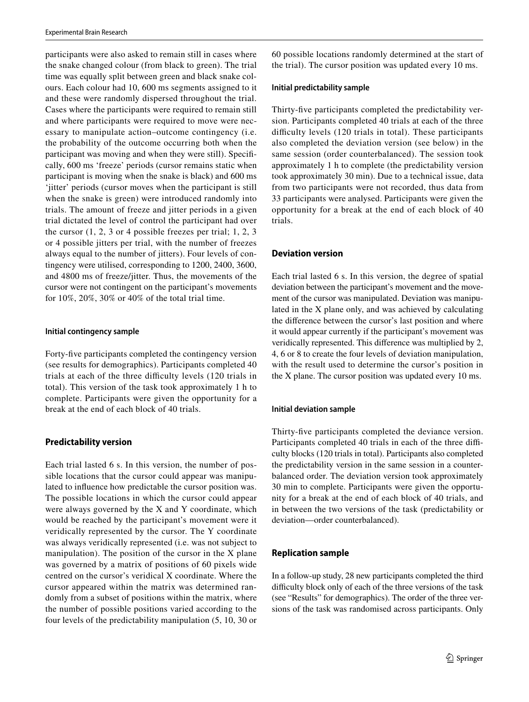participants were also asked to remain still in cases where the snake changed colour (from black to green). The trial time was equally split between green and black snake colours. Each colour had 10, 600 ms segments assigned to it and these were randomly dispersed throughout the trial. Cases where the participants were required to remain still and where participants were required to move were necessary to manipulate action–outcome contingency (i.e. the probability of the outcome occurring both when the participant was moving and when they were still). Specifcally, 600 ms 'freeze' periods (cursor remains static when participant is moving when the snake is black) and 600 ms 'jitter' periods (cursor moves when the participant is still when the snake is green) were introduced randomly into trials. The amount of freeze and jitter periods in a given trial dictated the level of control the participant had over the cursor (1, 2, 3 or 4 possible freezes per trial; 1, 2, 3 or 4 possible jitters per trial, with the number of freezes always equal to the number of jitters). Four levels of contingency were utilised, corresponding to 1200, 2400, 3600, and 4800 ms of freeze/jitter. Thus, the movements of the cursor were not contingent on the participant's movements for 10%, 20%, 30% or 40% of the total trial time.

#### **Initial contingency sample**

Forty-fve participants completed the contingency version (see results for demographics). Participants completed 40 trials at each of the three difficulty levels (120 trials in total). This version of the task took approximately 1 h to complete. Participants were given the opportunity for a break at the end of each block of 40 trials.

# **Predictability version**

Each trial lasted 6 s. In this version, the number of possible locations that the cursor could appear was manipulated to infuence how predictable the cursor position was. The possible locations in which the cursor could appear were always governed by the X and Y coordinate, which would be reached by the participant's movement were it veridically represented by the cursor. The Y coordinate was always veridically represented (i.e. was not subject to manipulation). The position of the cursor in the X plane was governed by a matrix of positions of 60 pixels wide centred on the cursor's veridical X coordinate. Where the cursor appeared within the matrix was determined randomly from a subset of positions within the matrix, where the number of possible positions varied according to the four levels of the predictability manipulation (5, 10, 30 or 60 possible locations randomly determined at the start of the trial). The cursor position was updated every 10 ms.

## **Initial predictability sample**

Thirty-fve participants completed the predictability version. Participants completed 40 trials at each of the three difficulty levels (120 trials in total). These participants also completed the deviation version (see below) in the same session (order counterbalanced). The session took approximately 1 h to complete (the predictability version took approximately 30 min). Due to a technical issue, data from two participants were not recorded, thus data from 33 participants were analysed. Participants were given the opportunity for a break at the end of each block of 40 trials.

## **Deviation version**

Each trial lasted 6 s. In this version, the degree of spatial deviation between the participant's movement and the movement of the cursor was manipulated. Deviation was manipulated in the X plane only, and was achieved by calculating the diference between the cursor's last position and where it would appear currently if the participant's movement was veridically represented. This diference was multiplied by 2, 4, 6 or 8 to create the four levels of deviation manipulation, with the result used to determine the cursor's position in the X plane. The cursor position was updated every 10 ms.

## **Initial deviation sample**

Thirty-fve participants completed the deviance version. Participants completed 40 trials in each of the three difficulty blocks (120 trials in total). Participants also completed the predictability version in the same session in a counterbalanced order. The deviation version took approximately 30 min to complete. Participants were given the opportunity for a break at the end of each block of 40 trials, and in between the two versions of the task (predictability or deviation—order counterbalanced).

# **Replication sample**

In a follow-up study, 28 new participants completed the third difficulty block only of each of the three versions of the task (see "Results" for demographics). The order of the three versions of the task was randomised across participants. Only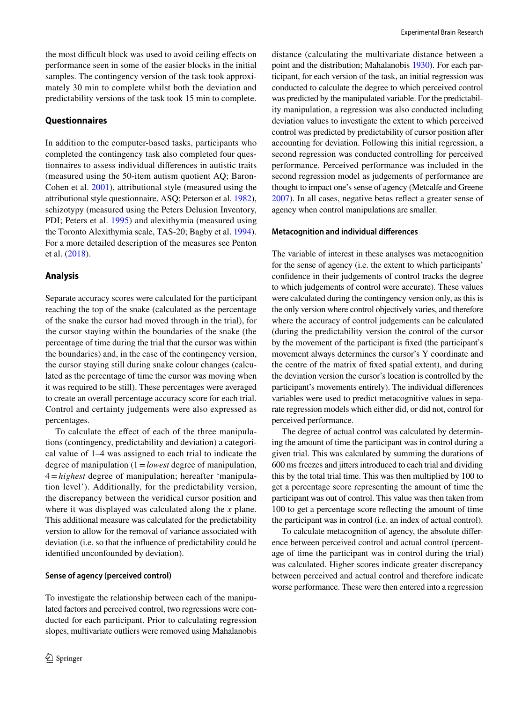the most difficult block was used to avoid ceiling effects on performance seen in some of the easier blocks in the initial samples. The contingency version of the task took approximately 30 min to complete whilst both the deviation and predictability versions of the task took 15 min to complete.

## **Questionnaires**

In addition to the computer-based tasks, participants who completed the contingency task also completed four questionnaires to assess individual diferences in autistic traits (measured using the 50-item autism quotient AQ; Baron-Cohen et al. [2001](#page-10-5)), attributional style (measured using the attributional style questionnaire, ASQ; Peterson et al. [1982](#page-11-31)), schizotypy (measured using the Peters Delusion Inventory, PDI; Peters et al. [1995](#page-11-31)) and alexithymia (measured using the Toronto Alexithymia scale, TAS-20; Bagby et al. [1994](#page-10-6)). For a more detailed description of the measures see Penton et al. [\(2018\)](#page-11-21).

## **Analysis**

Separate accuracy scores were calculated for the participant reaching the top of the snake (calculated as the percentage of the snake the cursor had moved through in the trial), for the cursor staying within the boundaries of the snake (the percentage of time during the trial that the cursor was within the boundaries) and, in the case of the contingency version, the cursor staying still during snake colour changes (calculated as the percentage of time the cursor was moving when it was required to be still). These percentages were averaged to create an overall percentage accuracy score for each trial. Control and certainty judgements were also expressed as percentages.

To calculate the efect of each of the three manipulations (contingency, predictability and deviation) a categorical value of 1–4 was assigned to each trial to indicate the degree of manipulation (1=*lowest* degree of manipulation, 4=*highest* degree of manipulation; hereafter 'manipulation level'). Additionally, for the predictability version, the discrepancy between the veridical cursor position and where it was displayed was calculated along the *x* plane. This additional measure was calculated for the predictability version to allow for the removal of variance associated with deviation (i.e. so that the infuence of predictability could be identifed unconfounded by deviation).

## **Sense of agency (perceived control)**

To investigate the relationship between each of the manipulated factors and perceived control, two regressions were conducted for each participant. Prior to calculating regression slopes, multivariate outliers were removed using Mahalanobis

distance (calculating the multivariate distance between a point and the distribution; Mahalanobis [1930\)](#page-11-32). For each participant, for each version of the task, an initial regression was conducted to calculate the degree to which perceived control was predicted by the manipulated variable. For the predictability manipulation, a regression was also conducted including deviation values to investigate the extent to which perceived control was predicted by predictability of cursor position after accounting for deviation. Following this initial regression, a second regression was conducted controlling for perceived performance. Perceived performance was included in the second regression model as judgements of performance are thought to impact one's sense of agency (Metcalfe and Greene [2007](#page-11-6)). In all cases, negative betas refect a greater sense of agency when control manipulations are smaller.

## **Metacognition and individual diferences**

The variable of interest in these analyses was metacognition for the sense of agency (i.e. the extent to which participants' confdence in their judgements of control tracks the degree to which judgements of control were accurate). These values were calculated during the contingency version only, as this is the only version where control objectively varies, and therefore where the accuracy of control judgements can be calculated (during the predictability version the control of the cursor by the movement of the participant is fxed (the participant's movement always determines the cursor's Y coordinate and the centre of the matrix of fxed spatial extent), and during the deviation version the cursor's location is controlled by the participant's movements entirely). The individual diferences variables were used to predict metacognitive values in separate regression models which either did, or did not, control for perceived performance.

The degree of actual control was calculated by determining the amount of time the participant was in control during a given trial. This was calculated by summing the durations of 600 ms freezes and jitters introduced to each trial and dividing this by the total trial time. This was then multiplied by 100 to get a percentage score representing the amount of time the participant was out of control. This value was then taken from 100 to get a percentage score refecting the amount of time the participant was in control (i.e. an index of actual control).

To calculate metacognition of agency, the absolute diference between perceived control and actual control (percentage of time the participant was in control during the trial) was calculated. Higher scores indicate greater discrepancy between perceived and actual control and therefore indicate worse performance. These were then entered into a regression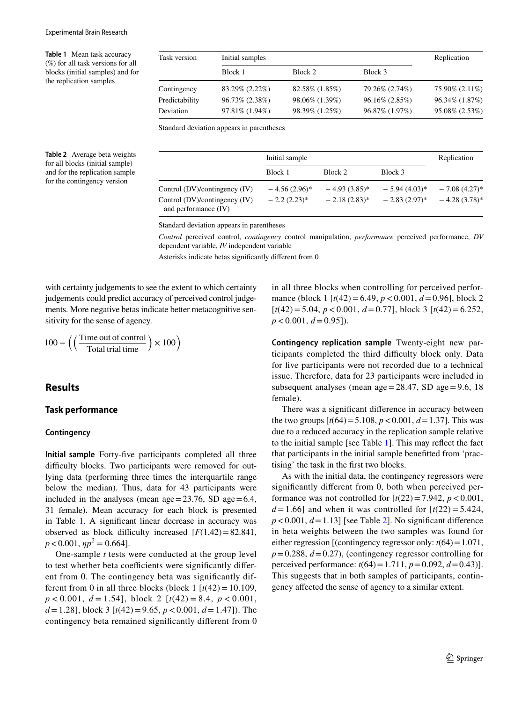<span id="page-6-0"></span>**Table 1** Mean task accuracy (%) for all task versions for all blocks (initial samples) and for the replication samples

| Task version   | Initial samples | Replication    |                |                |
|----------------|-----------------|----------------|----------------|----------------|
|                | Block 1         | Block 2        | Block 3        |                |
| Contingency    | 83.29% (2.22%)  | 82.58% (1.85%) | 79.26% (2.74%) | 75.90% (2.11%) |
| Predictability | 96.73% (2.38%)  | 98.06% (1.39%) | 96.16% (2.85%) | 96.34% (1.87%) |
| Deviation      | 97.81% (1.94%)  | 98.39% (1.25%) | 96.87% (1.97%) | 95.08% (2.53%) |

Standard deviation appears in parentheses

<span id="page-6-1"></span>**Table 2** Average beta weights for all blocks (initial sample) and for the replication sample for the contingency version

|                                                       | Initial sample  |                   |                   | Replication     |
|-------------------------------------------------------|-----------------|-------------------|-------------------|-----------------|
|                                                       | Block 1         | Block 2           | Block 3           |                 |
| Control (DV)/contingency (IV)                         | $-4.56(2.96)^*$ | $-4.93(3.85)^{*}$ | $-5.94(4.03)^{*}$ | $-7.08(4.27)$ * |
| Control (DV)/contingency (IV)<br>and performance (IV) | $-2.2(2.23)^*$  | $-2.18(2.83)^*$   | $-2.83(2.97)^{*}$ | $-4.28(3.78)$ * |

Standard deviation appears in parentheses

*Control* perceived control, *contingency* control manipulation, *performance* perceived performance, *DV* dependent variable, *IV* independent variable

Asterisks indicate betas signifcantly diferent from 0

with certainty judgements to see the extent to which certainty judgements could predict accuracy of perceived control judgements. More negative betas indicate better metacognitive sensitivity for the sense of agency.

$$
100 - \left( \left( \frac{\text{Time out of control}}{\text{Total trial time}} \right) \times 100 \right)
$$

# **Results**

#### **Task performance**

#### **Contingency**

**Initial sample** Forty-fve participants completed all three difficulty blocks. Two participants were removed for outlying data (performing three times the interquartile range below the median). Thus, data for 43 participants were included in the analyses (mean  $age = 23.76$ , SD  $age = 6.4$ , 31 female). Mean accuracy for each block is presented in Table [1](#page-6-0). A significant linear decrease in accuracy was observed as block difficulty increased  $[F(1,42)=82.841]$ ,  $p < 0.001$ ,  $\eta p^2 = 0.664$ .

One-sample *t* tests were conducted at the group level to test whether beta coefficients were significantly different from 0. The contingency beta was signifcantly different from 0 in all three blocks (block 1  $[t(42) = 10.109]$ , *p* < 0.001, *d* = 1.54], block 2 [*t*(42) = 8.4, *p* < 0.001, *d*=1.28], block 3 [*t*(42)=9.65, *p*<0.001, *d*=1.47]). The contingency beta remained signifcantly diferent from 0 in all three blocks when controlling for perceived performance (block 1 [*t*(42)=6.49, *p*<0.001, *d*=0.96], block 2 [*t*(42)=5.04, *p*<0.001, *d*=0.77], block 3 [*t*(42)=6.252, *p*<0.001, *d*=0.95]).

**Contingency replication sample** Twenty-eight new participants completed the third difficulty block only. Data for five participants were not recorded due to a technical issue. Therefore, data for 23 participants were included in subsequent analyses (mean  $age = 28.47$ , SD  $age = 9.6$ , 18 female).

There was a signifcant diference in accuracy between the two groups  $[t(64) = 5.108, p < 0.001, d = 1.37]$ . This was due to a reduced accuracy in the replication sample relative to the initial sample [see Table [1\]](#page-6-0). This may refect the fact that participants in the initial sample beneftted from 'practising' the task in the frst two blocks.

As with the initial data, the contingency regressors were signifcantly diferent from 0, both when perceived performance was not controlled for  $[t(22)=7.942, p < 0.001,$  $d = 1.66$ ] and when it was controlled for  $\lceil t(22) = 5.424$ ,  $p < 0.001$ ,  $d = 1.13$  [see Table [2\]](#page-6-1). No significant difference in beta weights between the two samples was found for either regression [(contingency regressor only: *t*(64)=1.071,  $p=0.288$ ,  $d=0.27$ ), (contingency regressor controlling for perceived performance:  $t(64) = 1.711$ ,  $p = 0.092$ ,  $d = 0.43$ ]. This suggests that in both samples of participants, contingency afected the sense of agency to a similar extent.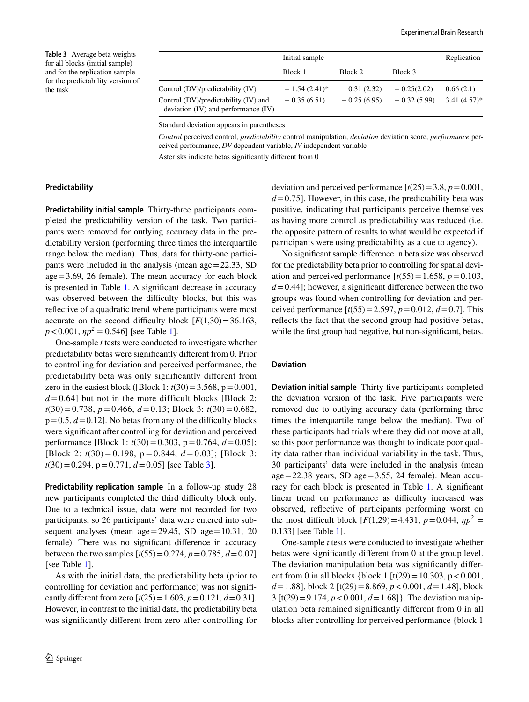<span id="page-7-0"></span>**Table 3** Average beta weights for all blocks (initial sample) and for the replication sample for the predictability version of the task

|                                                                                 | Initial sample  |               |               | Replication    |
|---------------------------------------------------------------------------------|-----------------|---------------|---------------|----------------|
|                                                                                 | Block 1         | Block 2       | Block 3       |                |
| Control (DV)/predictability (IV)                                                | $-1.54(2.41)^*$ | 0.31(2.32)    | $-0.25(2.02)$ | 0.66(2.1)      |
| Control (DV)/predictability (IV) and<br>deviation $(IV)$ and performance $(IV)$ | $-0.35(6.51)$   | $-0.25(6.95)$ | $-0.32(5.99)$ | $3.41(4.57)^*$ |

Standard deviation appears in parentheses

*Control* perceived control, *predictability* control manipulation, *deviation* deviation score, *performance* perceived performance, *DV* dependent variable, *IV* independent variable

Asterisks indicate betas signifcantly diferent from 0

## **Predictability**

**Predictability initial sample** Thirty-three participants completed the predictability version of the task. Two participants were removed for outlying accuracy data in the predictability version (performing three times the interquartile range below the median). Thus, data for thirty-one participants were included in the analysis (mean age=22.33, SD age=3.69, 26 female). The mean accuracy for each block is presented in Table [1.](#page-6-0) A signifcant decrease in accuracy was observed between the difficulty blocks, but this was refective of a quadratic trend where participants were most accurate on the second difficulty block  $[F(1,30) = 36.163]$ ,  $p < 0.001$ ,  $\eta p^2 = 0.546$ ] [see Table [1](#page-6-0)].

One-sample *t* tests were conducted to investigate whether predictability betas were signifcantly diferent from 0. Prior to controlling for deviation and perceived performance, the predictability beta was only signifcantly diferent from zero in the easiest block ([Block 1:  $t(30) = 3.568$ , p=0.001,  $d = 0.64$ ] but not in the more difficult blocks [Block 2: *t*(30)=0.738, *p*=0.466, *d*=0.13; Block 3: *t*(30)=0.682,  $p=0.5, d=0.12$ . No betas from any of the difficulty blocks were signifcant after controlling for deviation and perceived performance [Block 1: *t*(30)=0.303, p=0.764, *d*=0.05]; [Block 2: *t*(30) = 0.198, p = 0.844, *d* = 0.03]; [Block 3: *t*(30)=0.294, p=0.771, *d*=0.05] [see Table [3](#page-7-0)].

**Predictability replication sample** In a follow-up study 28 new participants completed the third difficulty block only. Due to a technical issue, data were not recorded for two participants, so 26 participants' data were entered into subsequent analyses (mean  $age=29.45$ , SD  $age=10.31$ , 20 female). There was no signifcant diference in accuracy between the two samples  $[t(55)=0.274, p=0.785, d=0.07]$ [see Table [1\]](#page-6-0).

As with the initial data, the predictability beta (prior to controlling for deviation and performance) was not signifcantly different from zero  $[t(25) = 1.603, p = 0.121, d = 0.31]$ . However, in contrast to the initial data, the predictability beta was signifcantly diferent from zero after controlling for deviation and perceived performance  $[t(25)=3.8, p=0.001,$  $d = 0.75$ . However, in this case, the predictability beta was positive, indicating that participants perceive themselves as having more control as predictability was reduced (i.e. the opposite pattern of results to what would be expected if participants were using predictability as a cue to agency).

No signifcant sample diference in beta size was observed for the predictability beta prior to controlling for spatial deviation and perceived performance  $[t(55)=1.658, p=0.103,$  $d=0.44$ ; however, a significant difference between the two groups was found when controlling for deviation and perceived performance  $[t(55)=2.597, p=0.012, d=0.7]$ . This refects the fact that the second group had positive betas, while the first group had negative, but non-significant, betas.

#### **Deviation**

**Deviation initial sample** Thirty-fve participants completed the deviation version of the task. Five participants were removed due to outlying accuracy data (performing three times the interquartile range below the median). Two of these participants had trials where they did not move at all, so this poor performance was thought to indicate poor quality data rather than individual variability in the task. Thus, 30 participants' data were included in the analysis (mean  $age = 22.38$  years, SD  $age = 3.55$ , 24 female). Mean accu-racy for each block is presented in Table [1](#page-6-0). A significant linear trend on performance as difficulty increased was observed, refective of participants performing worst on the most difficult block  $[F(1,29) = 4.431, p = 0.044, \eta p^2 =$ 0.133] [see Table [1\]](#page-6-0).

One-sample *t* tests were conducted to investigate whether betas were signifcantly diferent from 0 at the group level. The deviation manipulation beta was signifcantly diferent from 0 in all blocks {block 1  $[t(29) = 10.303, p < 0.001,$ *d*=1.88], block 2 [t(29)=8.869, *p*<0.001, *d*=1.48], block 3 [t(29)=9.174, *p*<0.001, *d*=1.68]}. The deviation manipulation beta remained signifcantly diferent from 0 in all blocks after controlling for perceived performance {block 1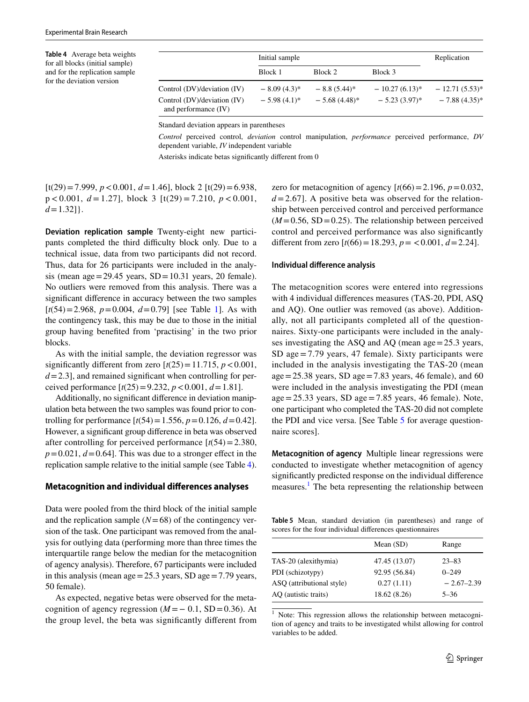<span id="page-8-0"></span>**Table 4** Average beta weights for all blocks (initial sample) and for the replication sample for the deviation version

|                                                                                    | Initial sample                   |                                   |                                         | Replication                           |
|------------------------------------------------------------------------------------|----------------------------------|-----------------------------------|-----------------------------------------|---------------------------------------|
|                                                                                    | Block 1                          | Block 2                           | Block 3                                 |                                       |
| Control (DV)/deviation (IV)<br>Control (DV)/deviation (IV)<br>and performance (IV) | $-8.09(4.3)$ *<br>$-5.98(4.1)^*$ | $-8.8(5.44)$ *<br>$-5.68(4.48)$ * | $-10.27(6.13)^{*}$<br>$-5.23(3.97)^{*}$ | $-12.71(5.53)^*$<br>$-7.88(4.35)^{*}$ |

Standard deviation appears in parentheses

*Control* perceived control, *deviation* control manipulation, *performance* perceived performance, *DV* dependent variable, *IV* independent variable

Asterisks indicate betas signifcantly diferent from 0

[t(29)=7.999, *p*<0.001, *d*=1.46], block 2 [t(29)=6.938, p < 0.001, *d* = 1.27], block 3 [t(29) = 7.210, *p* < 0.001,  $d=1.32$ ].

**Deviation replication sample** Twenty-eight new participants completed the third difficulty block only. Due to a technical issue, data from two participants did not record. Thus, data for 26 participants were included in the analysis (mean age = 29.45 years,  $SD = 10.31$  years, 20 female). No outliers were removed from this analysis. There was a signifcant diference in accuracy between the two samples  $[t(54)=2.968, p=0.004, d=0.79]$  [see Table [1](#page-6-0)]. As with the contingency task, this may be due to those in the initial group having benefted from 'practising' in the two prior blocks.

As with the initial sample, the deviation regressor was significantly different from zero  $[t(25)=11.715, p < 0.001,$  $d=2.3$ ], and remained significant when controlling for perceived performance  $[t(25) = 9.232, p < 0.001, d = 1.81]$ .

Additionally, no signifcant diference in deviation manipulation beta between the two samples was found prior to controlling for performance  $[t(54) = 1.556, p = 0.126, d = 0.42]$ . However, a signifcant group diference in beta was observed after controlling for perceived performance  $[t(54) = 2.380]$ ,  $p=0.021$ ,  $d=0.64$ ]. This was due to a stronger effect in the replication sample relative to the initial sample (see Table [4](#page-8-0)).

#### **Metacognition and individual diferences analyses**

Data were pooled from the third block of the initial sample and the replication sample  $(N=68)$  of the contingency version of the task. One participant was removed from the analysis for outlying data (performing more than three times the interquartile range below the median for the metacognition of agency analysis). Therefore, 67 participants were included in this analysis (mean age=25.3 years, SD age=7.79 years, 50 female).

As expected, negative betas were observed for the metacognition of agency regression  $(M = -0.1, SD = 0.36)$ . At the group level, the beta was signifcantly diferent from zero for metacognition of agency  $[t(66)=2.196, p=0.032]$ ,  $d=2.67$ ]. A positive beta was observed for the relationship between perceived control and perceived performance  $(M=0.56, SD=0.25)$ . The relationship between perceived control and perceived performance was also signifcantly different from zero  $[t(66) = 18.293, p = 0.001, d = 2.24]$ .

#### **Individual diference analysis**

The metacognition scores were entered into regressions with 4 individual diferences measures (TAS-20, PDI, ASQ and AQ). One outlier was removed (as above). Additionally, not all participants completed all of the questionnaires. Sixty-one participants were included in the analyses investigating the ASQ and AQ (mean age=25.3 years, SD age=7.79 years, 47 female). Sixty participants were included in the analysis investigating the TAS-20 (mean age = 25.38 years, SD age = 7.83 years, 46 female), and 60 were included in the analysis investigating the PDI (mean  $age = 25.33 \text{ years}$ , SD  $age = 7.85 \text{ years}$ , 46 female). Note, one participant who completed the TAS-20 did not complete the PDI and vice versa. [See Table [5](#page-8-1) for average questionnaire scores].

**Metacognition of agency** Multiple linear regressions were conducted to investigate whether metacognition of agency signifcantly predicted response on the individual diference measures.<sup>[1](#page-8-2)</sup> The beta representing the relationship between

<span id="page-8-1"></span>**Table 5** Mean, standard deviation (in parentheses) and range of scores for the four individual diferences questionnaires

|                           | Mean $(SD)$   | Range        |
|---------------------------|---------------|--------------|
| TAS-20 (alexithymia)      | 47.45 (13.07) | $23 - 83$    |
| PDI (schizotypy)          | 92.95 (56.84) | $0 - 249$    |
| ASQ (attributional style) | 0.27(1.11)    | $-2.67-2.39$ |
| AQ (autistic traits)      | 18.62 (8.26)  | $5 - 36$     |

<span id="page-8-2"></span>Note: This regression allows the relationship between metacognition of agency and traits to be investigated whilst allowing for control variables to be added.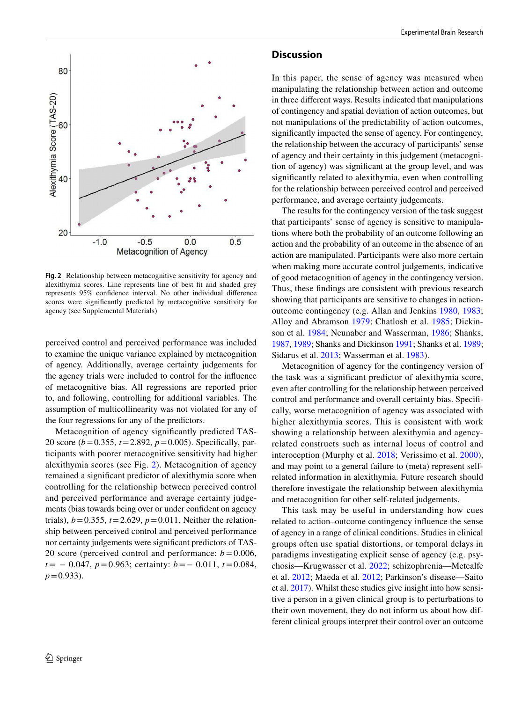

<span id="page-9-0"></span>**Fig. 2** Relationship between metacognitive sensitivity for agency and alexithymia scores. Line represents line of best ft and shaded grey represents 95% confdence interval. No other individual diference scores were signifcantly predicted by metacognitive sensitivity for agency (see Supplemental Materials)

perceived control and perceived performance was included to examine the unique variance explained by metacognition of agency. Additionally, average certainty judgements for the agency trials were included to control for the infuence of metacognitive bias. All regressions are reported prior to, and following, controlling for additional variables. The assumption of multicollinearity was not violated for any of the four regressions for any of the predictors.

Metacognition of agency signifcantly predicted TAS-20 score (*b*=0.355, *t*=2.892, *p*=0.005). Specifcally, participants with poorer metacognitive sensitivity had higher alexithymia scores (see Fig. [2\)](#page-9-0). Metacognition of agency remained a signifcant predictor of alexithymia score when controlling for the relationship between perceived control and perceived performance and average certainty judgements (bias towards being over or under confdent on agency trials),  $b = 0.355$ ,  $t = 2.629$ ,  $p = 0.011$ . Neither the relationship between perceived control and perceived performance nor certainty judgements were signifcant predictors of TAS-20 score (perceived control and performance:  $b = 0.006$ , *t*= − 0.047, *p*=0.963; certainty: *b*=− 0.011, *t*=0.084, *p*=0.933).

#### **Discussion**

In this paper, the sense of agency was measured when manipulating the relationship between action and outcome in three diferent ways. Results indicated that manipulations of contingency and spatial deviation of action outcomes, but not manipulations of the predictability of action outcomes, signifcantly impacted the sense of agency. For contingency, the relationship between the accuracy of participants' sense of agency and their certainty in this judgement (metacognition of agency) was signifcant at the group level, and was signifcantly related to alexithymia, even when controlling for the relationship between perceived control and perceived performance, and average certainty judgements.

The results for the contingency version of the task suggest that participants' sense of agency is sensitive to manipulations where both the probability of an outcome following an action and the probability of an outcome in the absence of an action are manipulated. Participants were also more certain when making more accurate control judgements, indicative of good metacognition of agency in the contingency version. Thus, these fndings are consistent with previous research showing that participants are sensitive to changes in actionoutcome contingency (e.g. Allan and Jenkins [1980,](#page-10-0) [1983](#page-10-1); Alloy and Abramson [1979;](#page-10-2) Chatlosh et al. [1985;](#page-11-13) Dickinson et al. [1984;](#page-11-14) Neunaber and Wasserman, [1986](#page-11-9); Shanks, [1987,](#page-11-15) [1989](#page-11-16); Shanks and Dickinson [1991](#page-11-11); Shanks et al. [1989](#page-11-8); Sidarus et al. [2013](#page-11-10); Wasserman et al. [1983\)](#page-11-17).

Metacognition of agency for the contingency version of the task was a signifcant predictor of alexithymia score, even after controlling for the relationship between perceived control and performance and overall certainty bias. Specifcally, worse metacognition of agency was associated with higher alexithymia scores. This is consistent with work showing a relationship between alexithymia and agencyrelated constructs such as internal locus of control and interoception (Murphy et al. [2018](#page-11-24); Verissimo et al. [2000](#page-11-25)), and may point to a general failure to (meta) represent selfrelated information in alexithymia. Future research should therefore investigate the relationship between alexithymia and metacognition for other self-related judgements.

This task may be useful in understanding how cues related to action–outcome contingency infuence the sense of agency in a range of clinical conditions. Studies in clinical groups often use spatial distortions, or temporal delays in paradigms investigating explicit sense of agency (e.g. psychosis—Krugwasser et al. [2022](#page-11-28); schizophrenia—Metcalfe et al. [2012](#page-11-29); Maeda et al. [2012;](#page-11-33) Parkinson's disease—Saito et al. [2017](#page-11-34)). Whilst these studies give insight into how sensitive a person in a given clinical group is to perturbations to their own movement, they do not inform us about how different clinical groups interpret their control over an outcome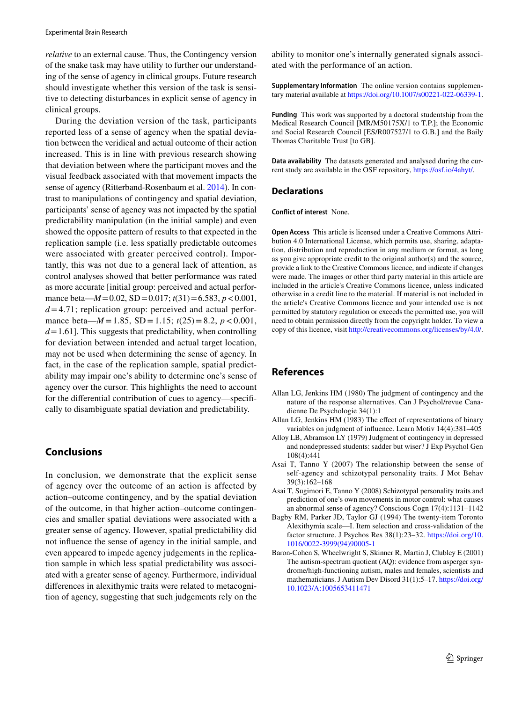*relative* to an external cause. Thus, the Contingency version of the snake task may have utility to further our understanding of the sense of agency in clinical groups. Future research should investigate whether this version of the task is sensitive to detecting disturbances in explicit sense of agency in clinical groups.

During the deviation version of the task, participants reported less of a sense of agency when the spatial deviation between the veridical and actual outcome of their action increased. This is in line with previous research showing that deviation between where the participant moves and the visual feedback associated with that movement impacts the sense of agency (Ritterband-Rosenbaum et al. [2014\)](#page-11-5). In contrast to manipulations of contingency and spatial deviation, participants' sense of agency was not impacted by the spatial predictability manipulation (in the initial sample) and even showed the opposite pattern of results to that expected in the replication sample (i.e. less spatially predictable outcomes were associated with greater perceived control). Importantly, this was not due to a general lack of attention, as control analyses showed that better performance was rated as more accurate [initial group: perceived and actual performance beta—*M*=0.02, SD=0.017; *t*(31)=6.583, *p*<0.001, *d*=4.71; replication group: perceived and actual performance beta— $M = 1.85$ , SD = 1.15;  $t(25) = 8.2$ ,  $p < 0.001$ ,  $d=1.61$ . This suggests that predictability, when controlling for deviation between intended and actual target location, may not be used when determining the sense of agency. In fact, in the case of the replication sample, spatial predictability may impair one's ability to determine one's sense of agency over the cursor. This highlights the need to account for the diferential contribution of cues to agency—specifcally to disambiguate spatial deviation and predictability.

# **Conclusions**

In conclusion, we demonstrate that the explicit sense of agency over the outcome of an action is affected by action–outcome contingency, and by the spatial deviation of the outcome, in that higher action–outcome contingencies and smaller spatial deviations were associated with a greater sense of agency. However, spatial predictability did not infuence the sense of agency in the initial sample, and even appeared to impede agency judgements in the replication sample in which less spatial predictability was associated with a greater sense of agency. Furthermore, individual diferences in alexithymic traits were related to metacognition of agency, suggesting that such judgements rely on the ability to monitor one's internally generated signals associated with the performance of an action.

**Supplementary Information** The online version contains supplementary material available at<https://doi.org/10.1007/s00221-022-06339-1>.

**Funding** This work was supported by a doctoral studentship from the Medical Research Council [MR/M50175X/1 to T.P.]; the Economic and Social Research Council [ES/R007527/1 to G.B.] and the Baily Thomas Charitable Trust [to GB].

**Data availability** The datasets generated and analysed during the current study are available in the OSF repository, [https://osf.io/4ahyt/.](https://osf.io/4ahyt/)

#### **Declarations**

**Conflict of interest** None.

**Open Access** This article is licensed under a Creative Commons Attribution 4.0 International License, which permits use, sharing, adaptation, distribution and reproduction in any medium or format, as long as you give appropriate credit to the original author(s) and the source, provide a link to the Creative Commons licence, and indicate if changes were made. The images or other third party material in this article are included in the article's Creative Commons licence, unless indicated otherwise in a credit line to the material. If material is not included in the article's Creative Commons licence and your intended use is not permitted by statutory regulation or exceeds the permitted use, you will need to obtain permission directly from the copyright holder. To view a copy of this licence, visit<http://creativecommons.org/licenses/by/4.0/>.

# **References**

- <span id="page-10-0"></span>Allan LG, Jenkins HM (1980) The judgment of contingency and the nature of the response alternatives. Can J Psychol/revue Canadienne De Psychologie 34(1):1
- <span id="page-10-1"></span>Allan LG, Jenkins HM (1983) The effect of representations of binary variables on judgment of infuence. Learn Motiv 14(4):381–405
- <span id="page-10-2"></span>Alloy LB, Abramson LY (1979) Judgment of contingency in depressed and nondepressed students: sadder but wiser? J Exp Psychol Gen 108(4):441
- <span id="page-10-3"></span>Asai T, Tanno Y (2007) The relationship between the sense of self-agency and schizotypal personality traits. J Mot Behav 39(3):162–168
- <span id="page-10-4"></span>Asai T, Sugimori E, Tanno Y (2008) Schizotypal personality traits and prediction of one's own movements in motor control: what causes an abnormal sense of agency? Conscious Cogn 17(4):1131–1142
- <span id="page-10-6"></span>Bagby RM, Parker JD, Taylor GJ (1994) The twenty-item Toronto Alexithymia scale—I. Item selection and cross-validation of the factor structure. J Psychos Res 38(1):23–32. [https://doi.org/10.](https://doi.org/10.1016/0022-3999(94)90005-1) [1016/0022-3999\(94\)90005-1](https://doi.org/10.1016/0022-3999(94)90005-1)
- <span id="page-10-5"></span>Baron-Cohen S, Wheelwright S, Skinner R, Martin J, Clubley E (2001) The autism-spectrum quotient (AQ): evidence from asperger syndrome/high-functioning autism, males and females, scientists and mathematicians. J Autism Dev Disord 31(1):5–17. [https://doi.org/](https://doi.org/10.1023/A:1005653411471) [10.1023/A:1005653411471](https://doi.org/10.1023/A:1005653411471)